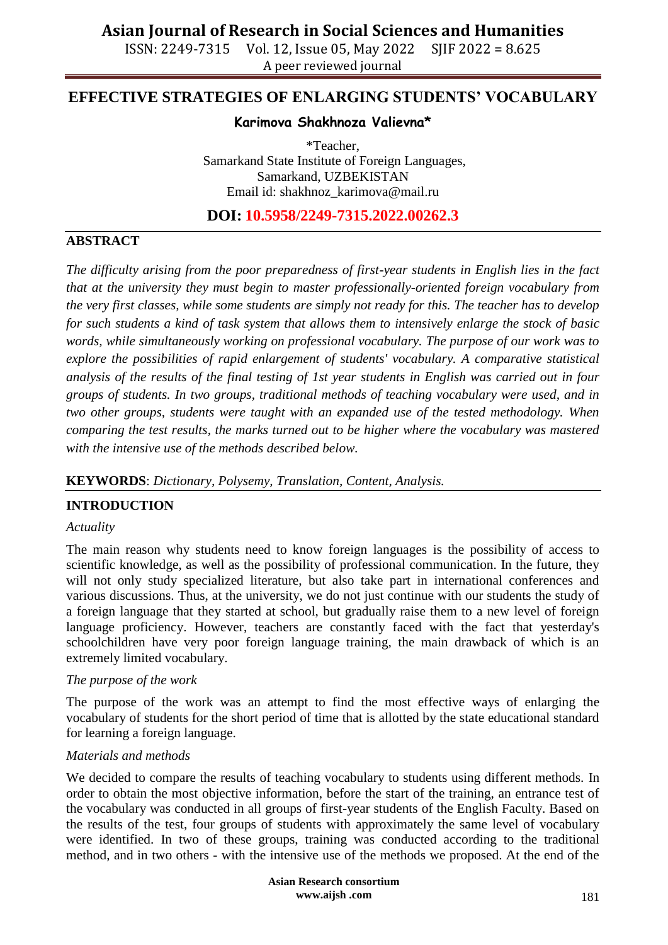ISSN: 2249-7315 Vol. 12, Issue 05, May 2022 SJIF 2022 = 8.625 A peer reviewed journal

# **EFFECTIVE STRATEGIES OF ENLARGING STUDENTS' VOCABULARY**

### **Karimova Shakhnoza Valievna\***

\*Teacher, Samarkand State Institute of Foreign Languages, Samarkand, UZBEKISTAN Email id: [shakhnoz\\_karimova@mail.ru](mailto:shakhnoz_karimova@mail.ru)

**DOI: 10.5958/2249-7315.2022.00262.3**

# **ABSTRACT**

*The difficulty arising from the poor preparedness of first-year students in English lies in the fact that at the university they must begin to master professionally-oriented foreign vocabulary from the very first classes, while some students are simply not ready for this. The teacher has to develop for such students a kind of task system that allows them to intensively enlarge the stock of basic words, while simultaneously working on professional vocabulary. The purpose of our work was to explore the possibilities of rapid enlargement of students' vocabulary. A comparative statistical analysis of the results of the final testing of 1st year students in English was carried out in four groups of students. In two groups, traditional methods of teaching vocabulary were used, and in two other groups, students were taught with an expanded use of the tested methodology. When comparing the test results, the marks turned out to be higher where the vocabulary was mastered with the intensive use of the methods described below.*

# **KEYWORDS**: *Dictionary, Polysemy, Translation, Content, Analysis.*

# **INTRODUCTION**

#### *Actuality*

The main reason why students need to know foreign languages is the possibility of access to scientific knowledge, as well as the possibility of professional communication. In the future, they will not only study specialized literature, but also take part in international conferences and various discussions. Thus, at the university, we do not just continue with our students the study of a foreign language that they started at school, but gradually raise them to a new level of foreign language proficiency. However, teachers are constantly faced with the fact that yesterday's schoolchildren have very poor foreign language training, the main drawback of which is an extremely limited vocabulary.

#### *The purpose of the work*

The purpose of the work was an attempt to find the most effective ways of enlarging the vocabulary of students for the short period of time that is allotted by the state educational standard for learning a foreign language.

#### *Materials and methods*

We decided to compare the results of teaching vocabulary to students using different methods. In order to obtain the most objective information, before the start of the training, an entrance test of the vocabulary was conducted in all groups of first-year students of the English Faculty. Based on the results of the test, four groups of students with approximately the same level of vocabulary were identified. In two of these groups, training was conducted according to the traditional method, and in two others - with the intensive use of the methods we proposed. At the end of the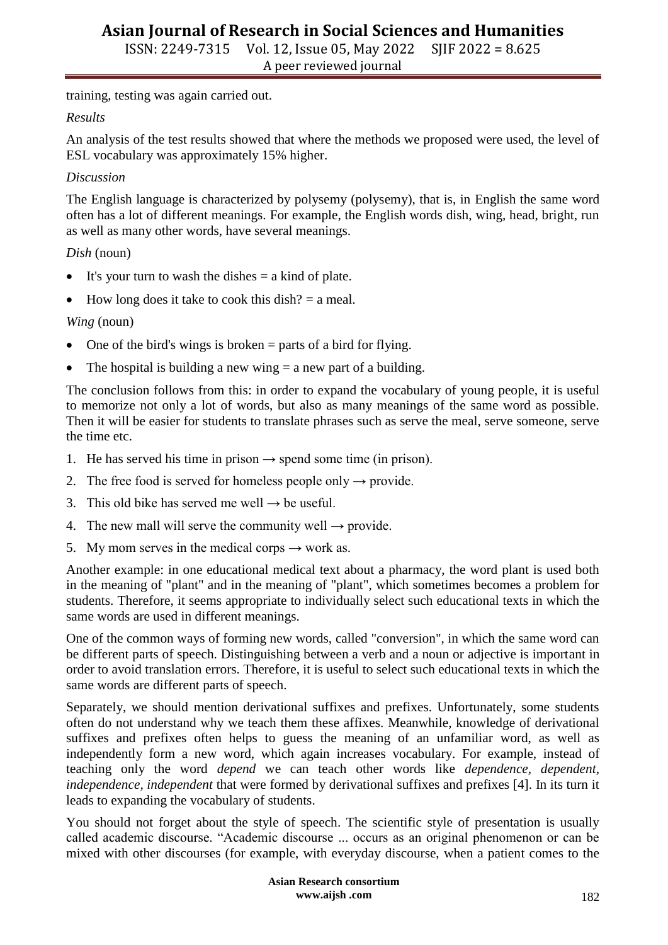ISSN: 2249-7315 Vol. 12, Issue 05, May 2022 SJIF 2022 = 8.625 A peer reviewed journal

training, testing was again carried out.

#### *Results*

An analysis of the test results showed that where the methods we proposed were used, the level of ESL vocabulary was approximately 15% higher.

#### *Discussion*

The English language is characterized by polysemy (polysemy), that is, in English the same word often has a lot of different meanings. For example, the English words dish, wing, head, bright, run as well as many other words, have several meanings.

# *Dish* (noun)

- $\bullet$  It's your turn to wash the dishes  $=$  a kind of plate.
- $\bullet$  How long does it take to cook this dish? = a meal.

# *Wing* (noun)

- $\bullet$  One of the bird's wings is broken = parts of a bird for flying.
- The hospital is building a new wing  $=$  a new part of a building.

The conclusion follows from this: in order to expand the vocabulary of young people, it is useful to memorize not only a lot of words, but also as many meanings of the same word as possible. Then it will be easier for students to translate phrases such as serve the meal, serve someone, serve the time etc.

- 1. He has served his time in prison  $\rightarrow$  spend some time (in prison).
- 2. The free food is served for homeless people only  $\rightarrow$  provide.
- 3. This old bike has served me well  $\rightarrow$  be useful.
- 4. The new mall will serve the community well  $\rightarrow$  provide.
- 5. My mom serves in the medical corps  $\rightarrow$  work as.

Another example: in one educational medical text about a pharmacy, the word plant is used both in the meaning of "plant" and in the meaning of "plant", which sometimes becomes a problem for students. Therefore, it seems appropriate to individually select such educational texts in which the same words are used in different meanings.

One of the common ways of forming new words, called "conversion", in which the same word can be different parts of speech. Distinguishing between a verb and a noun or adjective is important in order to avoid translation errors. Therefore, it is useful to select such educational texts in which the same words are different parts of speech.

Separately, we should mention derivational suffixes and prefixes. Unfortunately, some students often do not understand why we teach them these affixes. Meanwhile, knowledge of derivational suffixes and prefixes often helps to guess the meaning of an unfamiliar word, as well as independently form a new word, which again increases vocabulary. For example, instead of teaching only the word *depend* we can teach other words like *dependence, dependent, independence, independent* that were formed by derivational suffixes and prefixes [4]. In its turn it leads to expanding the vocabulary of students.

You should not forget about the style of speech. The scientific style of presentation is usually called academic discourse. "Academic discourse ... occurs as an original phenomenon or can be mixed with other discourses (for example, with everyday discourse, when a patient comes to the